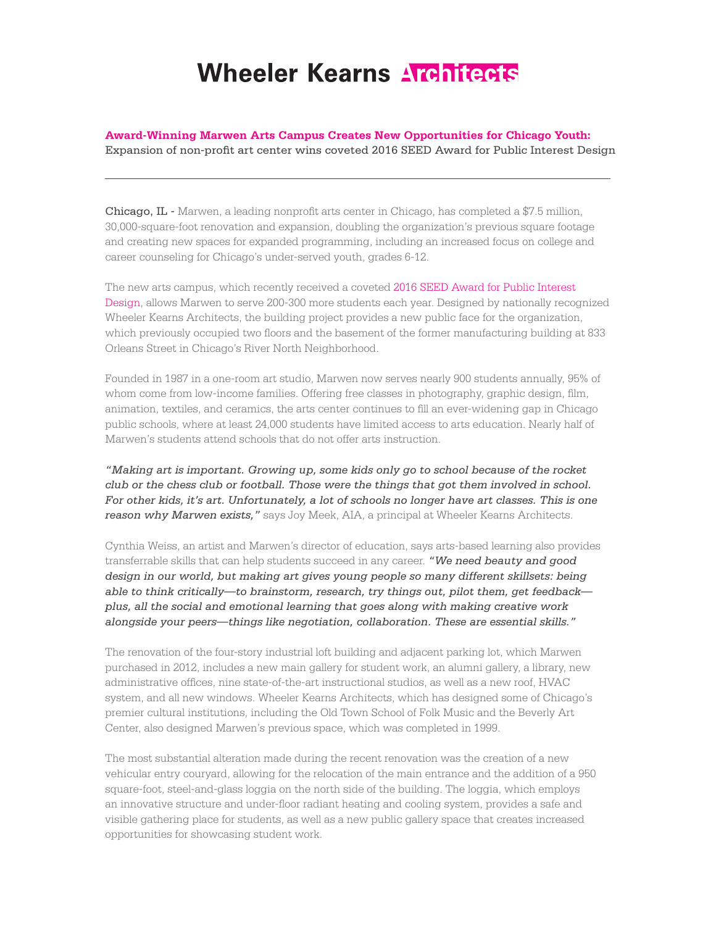## Wheeler Kearns Architects

**Award-Winning Marwen Arts Campus Creates New Opportunities for Chicago Youth:** 

Expansion of non-profit art center wins coveted 2016 SEED Award for Public Interest Design

Chicago, IL - Marwen, a leading nonprofit arts center in Chicago, has completed a \$7.5 million, 30,000-square-foot renovation and expansion, doubling the organization's previous square footage and creating new spaces for expanded programming, including an increased focus on college and career counseling for Chicago's under-served youth, grades 6-12.

The new arts campus, which recently received a coveted 2016 SEED Award for Public Interest Design, allows Marwen to serve 200-300 more students each year. Designed by nationally recognized Wheeler Kearns Architects, the building project provides a new public face for the organization, which previously occupied two floors and the basement of the former manufacturing building at 833 Orleans Street in Chicago's River North Neighborhood.

Founded in 1987 in a one-room art studio, Marwen now serves nearly 900 students annually, 95% of whom come from low-income families. Offering free classes in photography, graphic design, film, animation, textiles, and ceramics, the arts center continues to fill an ever-widening gap in Chicago public schools, where at least 24,000 students have limited access to arts education. Nearly half of Marwen's students attend schools that do not offer arts instruction.

*"Making art is important. Growing up, some kids only go to school because of the rocket club or the chess club or football. Those were the things that got them involved in school. For other kids, it's art. Unfortunately, a lot of schools no longer have art classes. This is one reason why Marwen exists,"* says Joy Meek, AIA, a principal at Wheeler Kearns Architects.

Cynthia Weiss, an artist and Marwen's director of education, says arts-based learning also provides transferrable skills that can help students succeed in any career. *"We need beauty and good design in our world, but making art gives young people so many different skillsets: being able to think critically—to brainstorm, research, try things out, pilot them, get feedback plus, all the social and emotional learning that goes along with making creative work alongside your peers—things like negotiation, collaboration. These are essential skills."* 

The renovation of the four-story industrial loft building and adjacent parking lot, which Marwen purchased in 2012, includes a new main gallery for student work, an alumni gallery, a library, new administrative offices, nine state-of-the-art instructional studios, as well as a new roof, HVAC system, and all new windows. Wheeler Kearns Architects, which has designed some of Chicago's premier cultural institutions, including the Old Town School of Folk Music and the Beverly Art Center, also designed Marwen's previous space, which was completed in 1999.

The most substantial alteration made during the recent renovation was the creation of a new vehicular entry couryard, allowing for the relocation of the main entrance and the addition of a 950 square-foot, steel-and-glass loggia on the north side of the building. The loggia, which employs an innovative structure and under-floor radiant heating and cooling system, provides a safe and visible gathering place for students, as well as a new public gallery space that creates increased opportunities for showcasing student work.